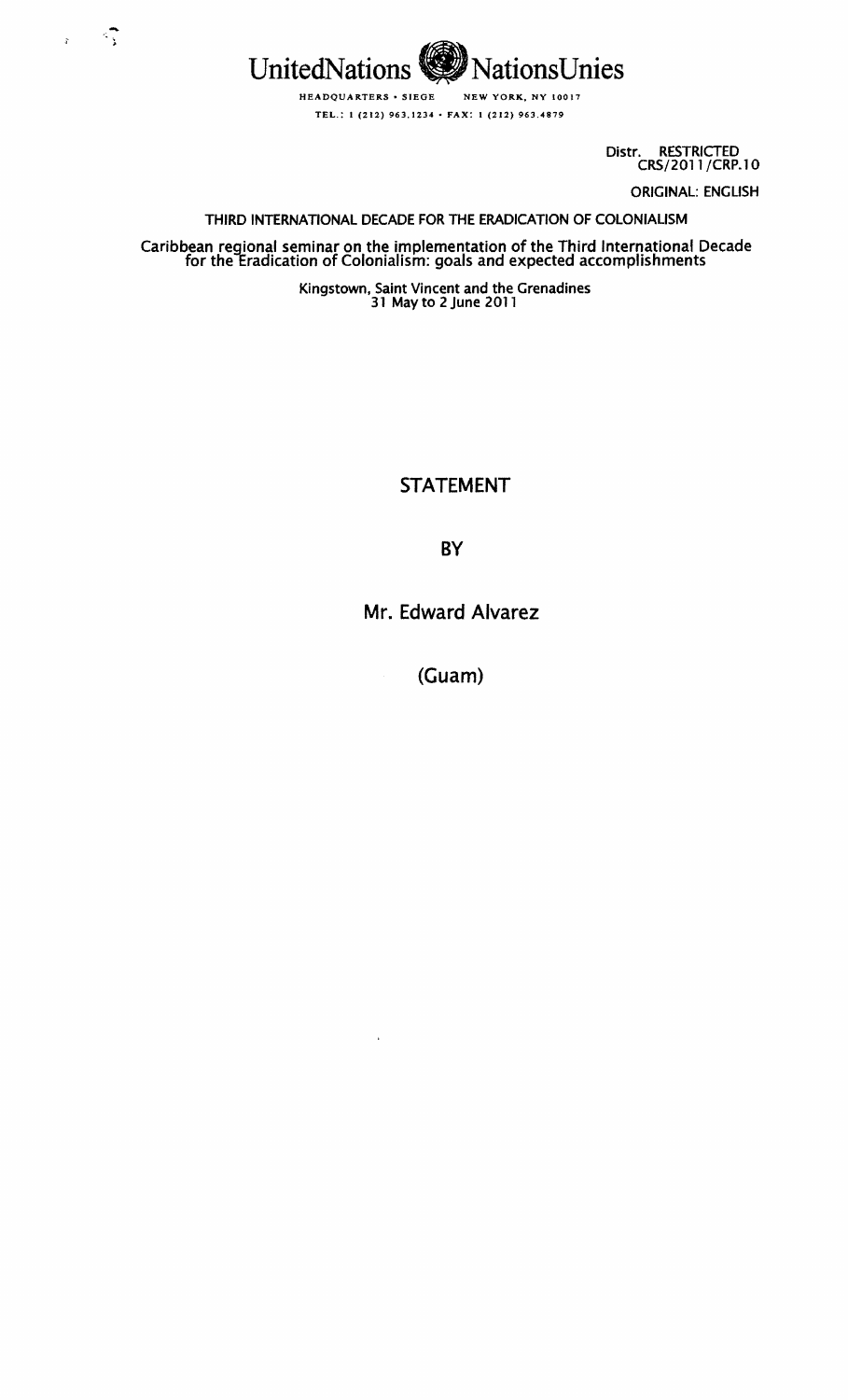

 $\sim$  -  $\sqrt{2}$ 

 $\mathbb{R}^2$ 

Distr. RESTRICTED CRS/2011/CRP.10 ORIGINAL: ENGLISH

THIRD INTERNATIONAL DECADE FOR THE ERADICATION OF COLONIALISM

Caribbean regional seminar on the implementation of the Third International Decade<br>for the Eradication of Colonialism: goals and expected accomplishments

Kingstown, Saint Vincent and the Grenadines 31 May to 2 June 2011

STATEMENT

**BY** 

Mr. Edward Alvarez

(Guam)

 $\bar{\star}$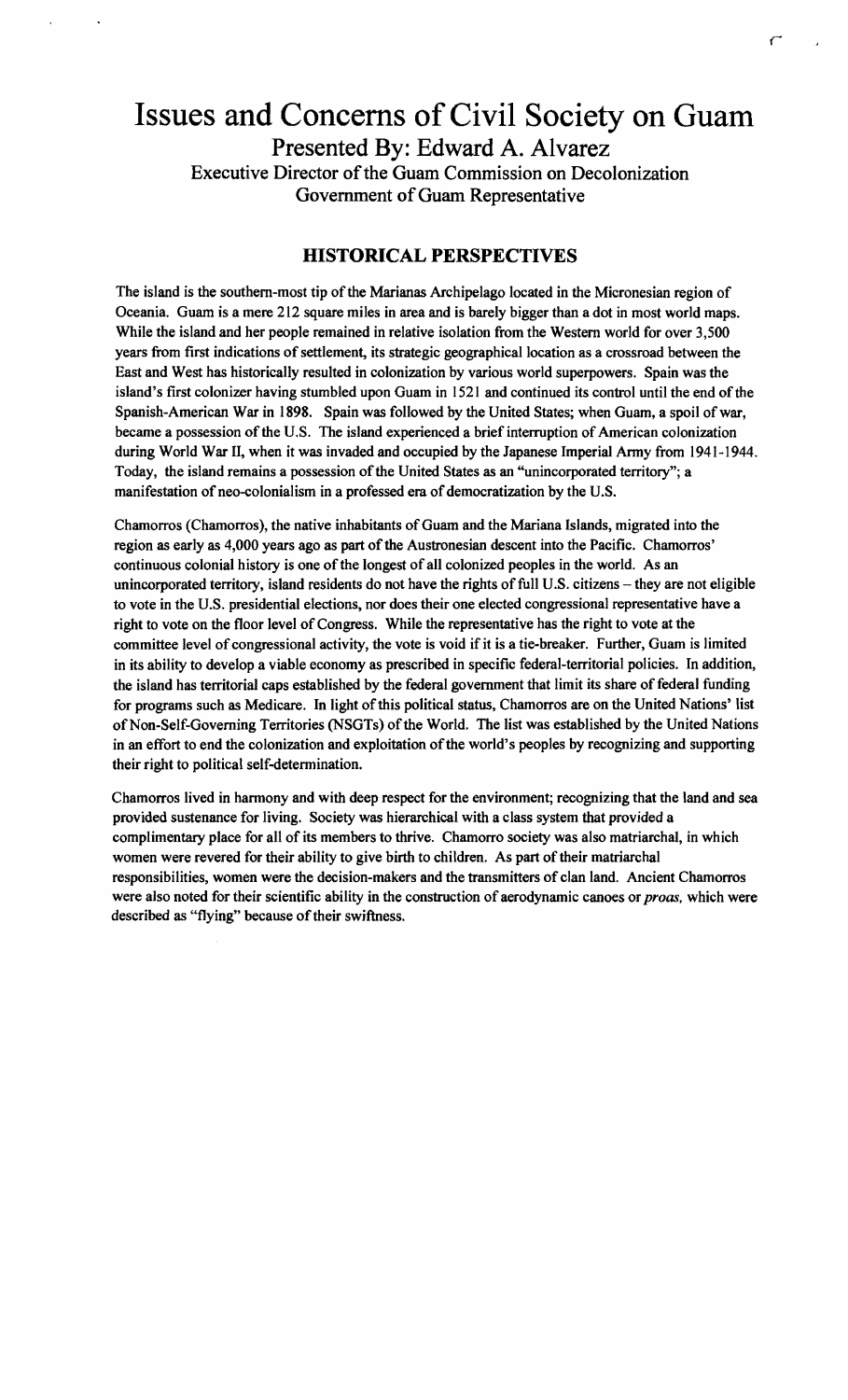# Issues and Concerns of Civil Society on Guam Presented By: Edward A. Alvarez Executive Director of the Guam Commission on Decolonization Government of Guam Representative

*r* 

# HISTORICAL PERSPECTIVES

The island is the southern-most tip of the Marianas Archipelago located in the Micronesian region of Oceania. Guam is a mere 212 square miles in area and is barely bigger than a dot in most world maps. While the island and her people remained in relative isolation from the Western world for over 3,500 years from first indications of settlement, its strategic geographical location as a crossroad between the East and West has historically resulted in colonization by various world superpowers. Spain was the island's first colonizer having stumbled upon Guam in 1521 and continued its control until the end of the Spanish-American War in 1898. Spain was followed by the United States; when Guam, a spoil of war, became a possession of the U.S. The island experienced a brief interruption of American colonization during World War II, when it was invaded and occupied by the Japanese Imperial Army from 1941-1944. Today, the island remains a possession of the United States as an "unincorporated territory"; a manifestation of neo-colonialism in a professed era of democratization by the U.S.

Chamorros (Chamorros), the native inhabitants of Guam and the Mariana Islands, migrated into the region as early as 4,000 years ago as part of the Austronesian descent into the Pacific. Chamorros' continuous colonial history is one of the longest of all colonized peoples in the world. As an unincorporated territory, island residents do not have the rights of full U.S. citizens - they are not eligible to vote in the U.S. presidential elections, nor does their one elected congressional representative have a right to vote on the floor level of Congress. While the representative has the right to vote at the committee level of congressional activity, the vote is void if it is a tie-breaker. Further, Guam is limited in its ability to develop a viable economy as prescribed in specific federal-territorial policies. In addition, the island has territorial caps established by the federal government that limit its share of federal funding for programs such as Medicare. In light of this political status, Chamorros are on the United Nations' list of Non-Self-Governing Territories (NSGTs) of the World. The list was established by the United Nations in an effort to end the colonization and exploitation of the world's peoples by recognizing and supporting their right to political self-determination.

Chamorros lived in harmony and with deep respect for the environment; recognizing that the land and sea provided sustenance for living. Society was hierarchical with a class system that provided a complimentary place for all of its members to thrive. Chamorro society was also matriarchal, in which women were revered for their ability to give birth to children. As part of their matriarchal responsibilities, women were the decision-makers and the transmitters of clan land. Ancient Chamorros were also noted for their scientific ability in the construction of aerodynamic canoes or *proas*, which were described as "flying" because of their swiftness.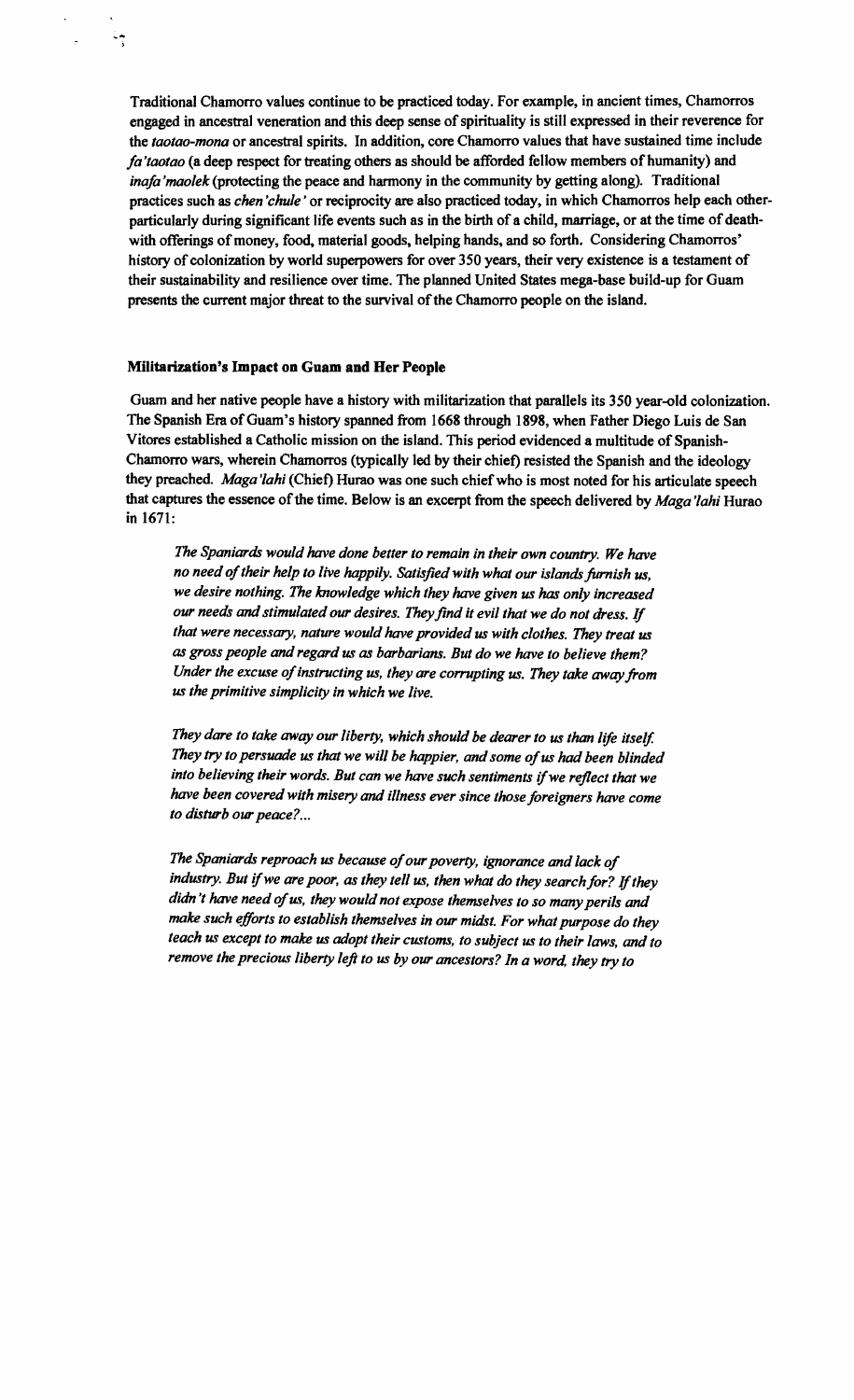Traditional Chamorro values continue to be practiced today. For example, in ancient times, Chamorros engaged in ancestral veneration and this deep sense of spirituality is still expressed in their reverence for the *taotao-mona* or ancestral spirits. In addition, core Chamorro values that have sustained time include *fa'taotao* (a deep respect for treating others as should be afforded fellow members of humanity) and *mafa'maolek* (protecting the peace and harmony in the community by getting along). Traditional practices such as *chen 'chule'* or reciprocity are also practiced today, in which Chamorros help each otherparticularly during significant life events such as in the birth of a child, marriage, or at the time of deathwith offerings of money, food, material goods, helping hands, and so forth. Considering Chamorros' history of colonization by world superpowers for over 350 years, their very existence is a testament of their sustainability and resilience over time. The planned United States mega-base build-up for Guam presents the current major threat to the survival of the Chamorro people on the island.

#### Militarization's Impact on Guam and Her People

 $\frac{1}{2}$ 

Guam and her native people have a history with militarization that parallels its 350 year-old colonization. The Spanish Era of Guam's history spanned from 1668 through 1898, when Father Diego Luis de San Vitores established a Catholic mission on the island. This period evidenced a multitude of Spanish-Chamorro wars, wherein Chamorros (typically led by their chiet) resisted the Spanish and the ideology they preached. *Maga'iahi* (Chiet) Hurao was one such chief who is most noted for his articulate speech that captures the essence of the time. Below is an excerpt from the speech delivered by *Maga'lahi* Hurao in 1671:

*The Spaniards would have done better to remain in their own country. We have*  no need of their help to live happily. Satisfied with what our islands furnish us, *we desire nothing. The knowledge which they have given us has only increased our needs and stimulated our desires. Theyfind it evil that we do not dress.* If *that were necessary, nature would have provided us with clothes. They treat us as gross people and regard us as barbarians. But do we have to believe them?*  Under the excuse of instructing us, they are corrupting us. They take away from *us the primitive simplicity in which we live.* 

*They dare to take away our liberty, which should be dearer to us than life itself.* They try to persuade us that we will be happier, and some of us had been blinded into believing their words. But can we have such sentiments if we reflect that we *have been covered with misery and illness ever since those foreigners have come to disturb our peace? ...* 

The Spaniards reproach us because of our poverty, ignorance and lack of industry. But if we are poor, as they tell us, then what do they search for? If they *didn't have need ofus, they would not expose themselves to so many perils* and *make such efforts to establish themselves in our midst. For what purpose do they teach us except to make us adopt their customs, to subject us to their laws, and to remove the precious liberty left to us by our ancestors? In a word, they try to*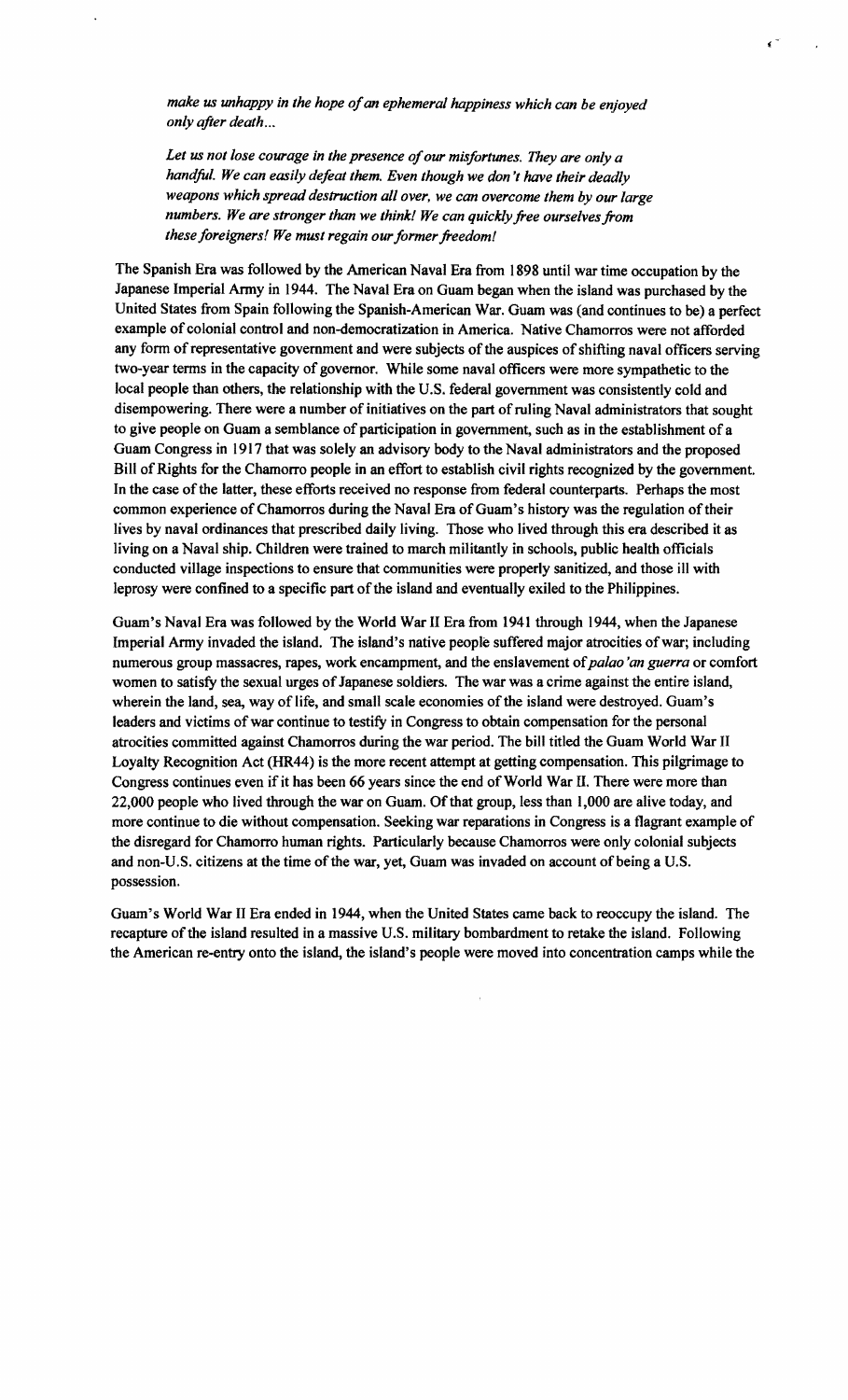make us unhappy in the hope of an ephemeral happiness which can be enjoyed *only after death ...* 

Let us not lose courage in the presence of our misfortunes. They are only a *handful. We can easily defeat them. Even though we don't have their deadly weapons which spread destruction all over, we can overcome them by our large numbers. We are stronger than we think! We can quickly free ourselves from*  these foreigners! We must regain our former freedom!

The Spanish Era was followed by the American Naval Era from 1898 until war time occupation by the Japanese Imperial Army in 1944. The Naval Era on Guam began when the island was purchased by the United States from Spain following the Spanish-American War. Guam was (and continues to be) a perfect example of colonial control and non-democratization in America. Native Chamorros were not afforded any form of representative government and were subjects of the auspices of shifting naval officers serving two-year terms in the capacity of governor. While some naval officers were more sympathetic to the local people than others, the relationship with the U.S. federal government was consistently cold and disempowering. There were a number of initiatives on the part ofruling Naval administrators that sought to give people on Guam a semblance of participation in government, such as in the establishment of a Guam Congress in 1917 that was solely an advisory body to the Naval administrators and the proposed Bill of Rights for the Chamorro people in an effort to establish civil rights recognized by the government. In the case of the latter, these efforts received no response from federal counterparts. Perhaps the most common experience of Chamorros during the Naval Era of Guam's history was the regulation of their lives by naval ordinances that prescribed daily living. Those who lived through this era described it as living on a Naval ship. Children were trained to march militantly in schools, public health officials conducted village inspections to ensure that communities were properly sanitized, and those ill with leprosy were confined to a specific part of the island and eventually exiled to the Philippines.

Guam's Naval Era was followed by the World War II Era from 1941 through 1944, when the Japanese Imperial Army invaded the island. The island's native people suffered major atrocities ofwar; including numerous group massacres, rapes, work encampment, and the enslavement of*palao 'an guerra* or comfort women to satisfy the sexual urges of Japanese soldiers. The war was a crime against the entire island, wherein the land, sea, way of life, and small scale economies of the island were destroyed. Guam's leaders and victims of war continue to testify in Congress to obtain compensation for the personal atrocities committed against Chamorros during the war period. The bill titled the Guam World War II Loyalty Recognition Act (HR44) is the more recent attempt at getting compensation. This pilgrimage to Congress continues even if it has been 66 years since the end of World War II. There were more than 22,000 people who lived through the war on Guam. Of that group, less than 1,000 are alive today, and more continue to die without compensation. Seeking war reparations in Congress is a flagrant example of the disregard for Chamorro human rights. Particularly because Chamorros were only colonial subjects and non-U.S. citizens at the time of the war, yet, Guam was invaded on account of being a U.S. possession.

Guam's World War II Era ended in 1944, when the United States came back to reoccupy the island. The recapture of the island resulted in a massive U.S. military bombardment to retake the island. Following the American re-entry onto the island, the island's people were moved into concentration camps while the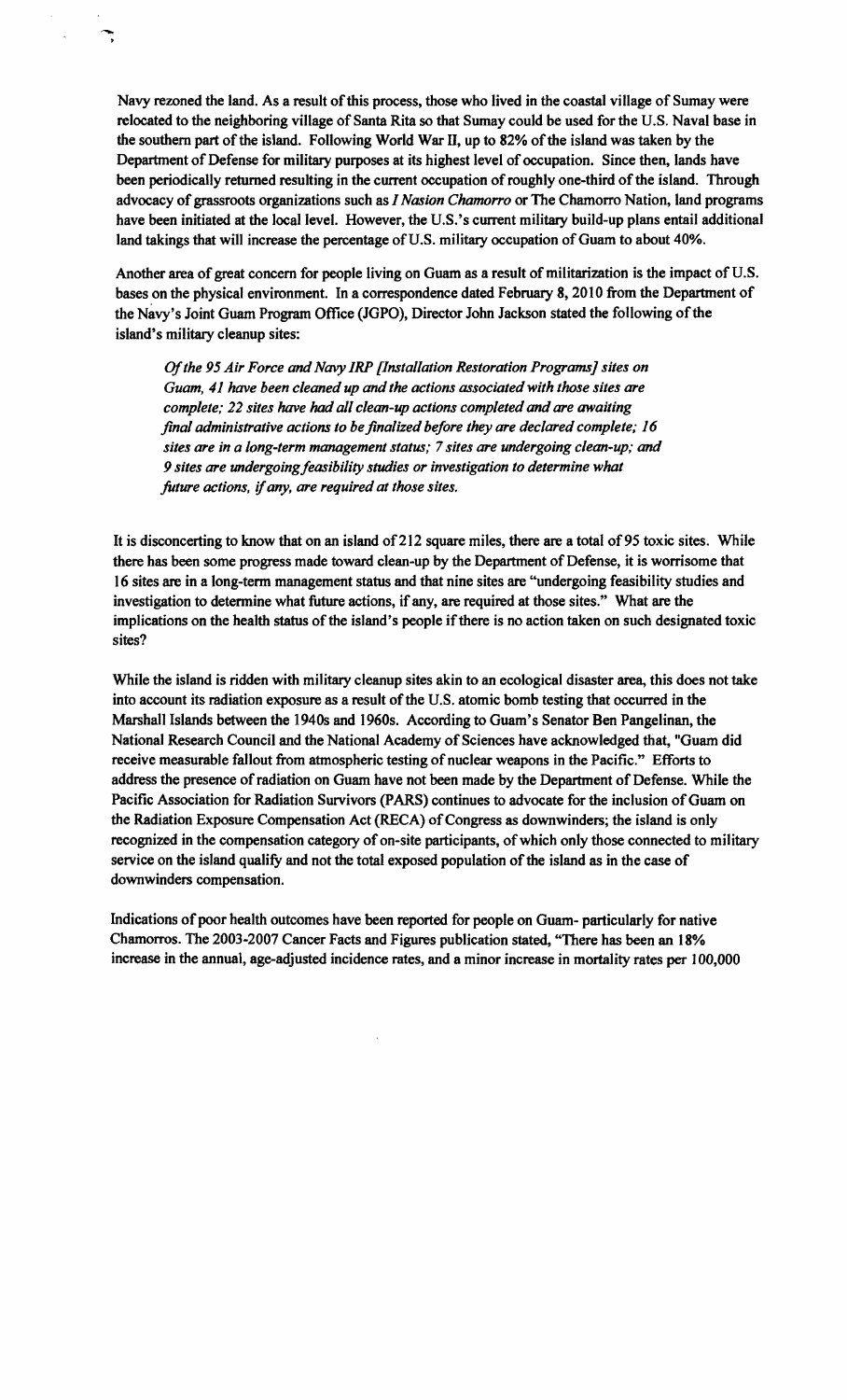Navy rezoned the land. As a result of this process, those who lived in the coastal village of Sumay were relocated to the neighboring village of Santa Rita so that Sumay could be used for the U.S. Naval base in the southern part of the island. Following World War II, up to 82% of the island was taken by the Department of Defense for military purposes at its highest level of occupation. Since then, lands have been periodically returned resulting in the current occupation of roughly one-third of the island. Through advocacy of grassroots organizations such as *I Nasion Chamorro* or The Chamorro Nation, land programs have been initiated at the local level. However, the U.S.'s current military build-up plans entail additional land takings that will increase the percentage of U.S. military occupation of Guam to about 40%.

Another area of great concern for people living on Guam as a result of militarization is the impact of U.S. bases on the physical environment. In a correspondence dated February 8,2010 from the Department of the Navy's Joint Guam Program Office (JGPO), Director John Jackson stated the following of the island's military cleanup sites:

Of*the* 95 *Air Force and Navy IRP [Installation Restoration Programs] sites on Guam,* 41 *have been cleaned up and the actions associated with those sites are complete; 22 sites have had all clean-up actions completed and are awaiting final administrative actions to be finalized before they are declared complete; 16 sites are in a long-term management status;* 7 *sites are undergoing clean-up; and*  9 sites are undergoing feasibility studies or investigation to determine what *future actions.* if*any. are required at those sites.* 

It is disconcerting to know that on an island of 212 square miles, there are a total of 95 toxic sites. While there has been some progress made toward clean-up by the Department of Defense, it is worrisome that 16 sites are in a long-term management status and that nine sites are "undergoing feasibility studies and investigation to determine what future actions, if any, are required at those sites." What are the implications on the health status of the island's people if there is no action taken on such designated toxic sites?

While the island is ridden with military cleanup sites akin to an ecological disaster area, this does not take into account its radiation exposure as a result of the U.S. atomic bomb testing that occurred in the Marshall Islands between the 19408 and 1960s. According to Guam's Senator Ben Pangelinan, the National Research Council and the National Academy of Sciences have acknowledged that, "Guam did receive measurable fallout from atmospheric testing of nuclear weapons in the Pacific." Efforts to address the presence of radiation on Guam have not been made by the Department of Defense. While the Pacific Association for Radiation Survivors (PARS) continues to advocate for the inclusion of Guam on the Radiation Exposure Compensation Act (RECA) of Congress as downwinders; the island is only recognized in the compensation category of on-site participants, of which only those connected to military service on the island qualify and not the total exposed population of the island as in the case of downwinders compensation.

Indications of poor health outcomes have been reported for people on Guam- particularly for native Chamorros. The 2003-2007 Cancer Facts and Figures publication stated, "There has been an 18% increase in the annual, age-adjusted incidence rates, and a minor increase in mortality rates per 100,000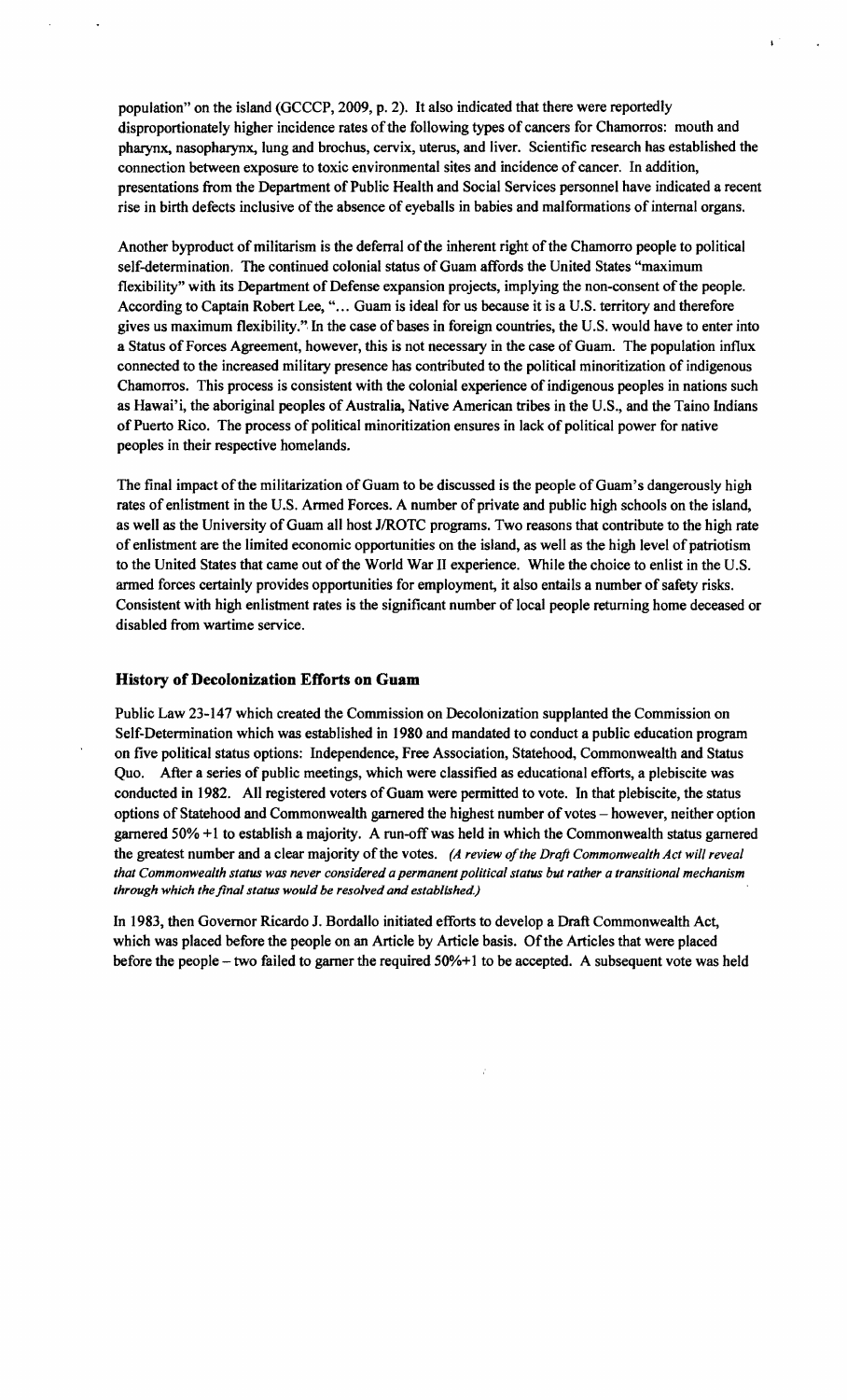population" on the island (GCCCP, 2009, p. 2). It also indicated that there were reportedly disproportionately higher incidence rates of the following types of cancers for Chamorros: mouth and pharynx, nasopharynx, lung and brochus, cervix, uterus, and liver. Scientific research has established the connection between exposure to toxic environmental sites and incidence of cancer. In addition, presentations from the Department of Public Health and Social Services personnel have indicated a recent rise in birth defects inclusive of the absence of eyeballs in babies and malformations of internal organs.

Another byproduct of militarism is the deferral of the inherent right of the Chamorro people to political self-determination. The continued colonial status of Guam affords the United States "maximum flexibility" with its Department of Defense expansion projects, implying the non-consent of the people. According to Captain Robert Lee, "... Guam is ideal for us because it is a U.S. territory and therefore gives us maximum flexibility.". In the case of bases in foreign countries, the U.S. would have to enter into a Status of Forces Agreement, however, this is not necessary in the case of Guam. The population influx connected to the increased military presence has contributed to the political minoritization of indigenous Chamorros. This process is consistent with the colonial experience ofindigenous peoples in nations such as Hawai'i, the aboriginal peoples of Australia, Native American tribes in the U.S., and the Taino Indians of Puerto Rico. The process of political minoritization ensures in lack of political power for native peoples in their respective homelands.

The final impact of the militarization of Guam to be discussed is the people of Guam's dangerously high rates of enlistment in the U.S. Armed Forces. A number of private and public high schools on the island, as well as the University of Guam all host J/ROTC programs. Two reasons that contribute to the high rate of enlistment are the limited economic opportunities on the island, as well as the high level of patriotism to the United States that came out of the World War II experience. While the choice to enlist in the U.S. armed forces certainly provides opportunities for employment, it also entails a number of safety risks. Consistent with high enlistment rates is the significant number of local people returning home deceased or disabled from wartime service.

### **History of Decolonization Efforts on Guam**

Public Law 23-147 which created the Commission on Decolonization supplanted the Commission on Self-Determination which was established in 1980 and mandated to conduct a public education program on five political status options: Independence, Free Association, Statehood, Commonwealth and Status Quo. After a series of public meetings, which were classified as educational efforts, a plebiscite was conducted in 1982. All registered voters of Guam were permitted to vote. In that plebiscite, the status options of Statehood and Commonwealth garnered the highest number of votes - however, neither option garnered 50% +1 to establish a majority. A run-offwas held in which the Commonwealth status garnered the greatest number and a clear majority of the votes. (A review of the Draft Commonwealth Act will reveal *that Commonwealth status was never considered a permanent political status but rather a transitional mechanism through which the final status would be resolved and established)* 

In 1983, then Governor Ricardo J. Bordallo initiated efforts to develop a Draft Commonwealth Act, which was placed before the people on an Article by Article basis. Of the Articles that were placed before the people – two failed to garner the required 50%+1 to be accepted. A subsequent vote was held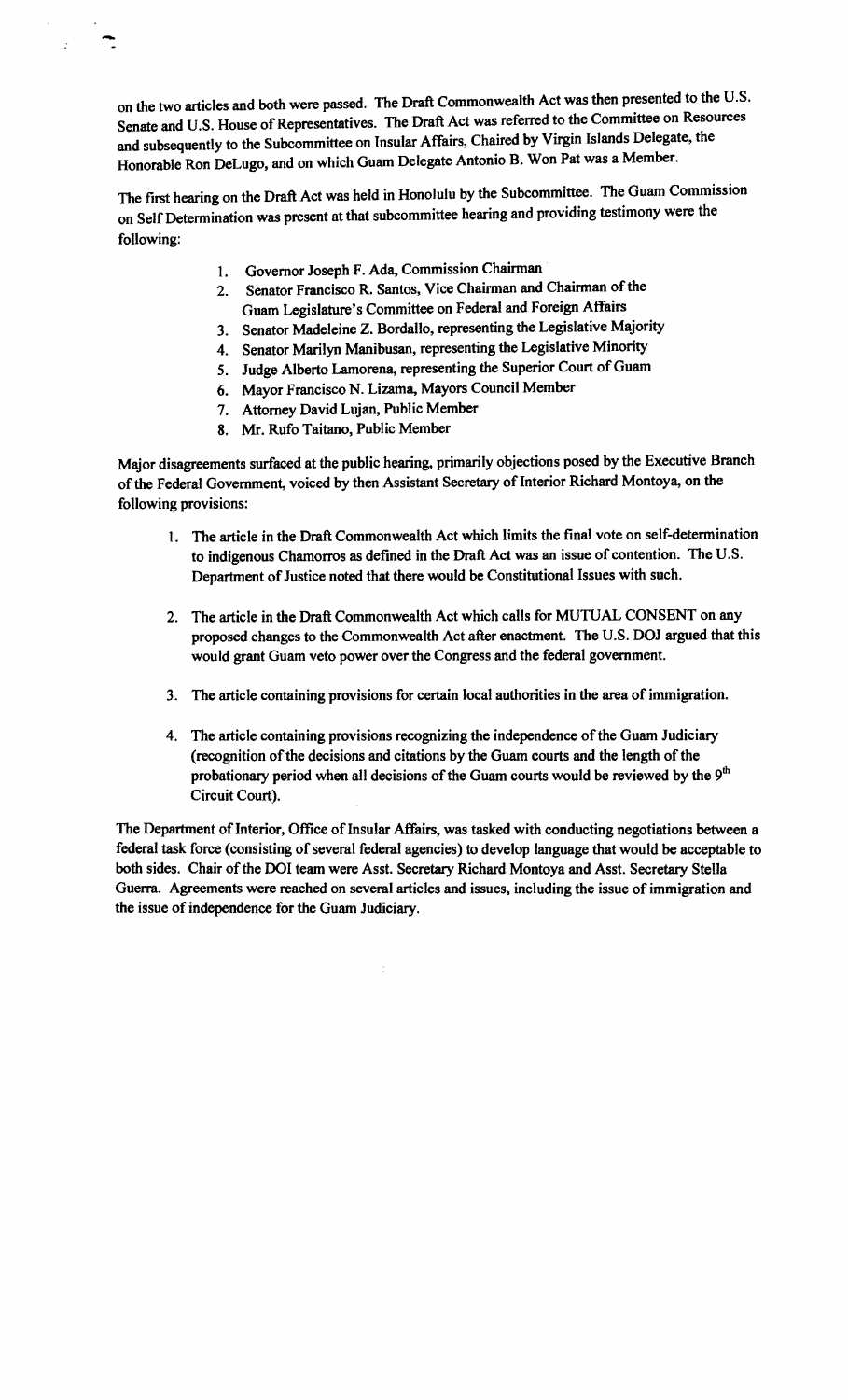on the two articles and both were passed. The Draft Commonwealth Act was then presented to the U.S. Senate and U.S. House of Representatives. The Draft Act was referred to the Committee on Resources and subsequently to the Subcommittee on Insular Affairs, Chaired by Virgin Islands Delegate, the Honorable Ron DeLugo, and on which Guam Delegate Antonio B. Won Pat was a Member.

The first hearing on the Draft Act was held in Honolulu by the Subcommittee. The Guam Commission on Self Determination was present at that subcommittee hearing and providing testimony were the following:

- 1. Governor Joseph F. Ada, Commission Chairman
- 2. Senator Francisco R. Santos, Vice Chairman and Chairman of the Guam Legislature's Committee on Federal and Foreign Affairs
- 3. Senator Madeleine Z. Bordallo, representing the Legislative Majority
- 4. Senator Marilyn Manibusan, representing the Legislative Minority
- 5. Judge Alberto Lamorena, representing the Superior Court of Guam
- 6. Mayor Francisco N. Lizama, Mayors Council Member
- 7. Attorney David Lujan, Public Member
- 8. Mr. Rufo Taitano, Public Member

-

Major disagreements surfaced at the public hearing, primarily objections posed by the Executive Branch of the Federal Government, voiced by then Assistant Secretary of Interior Richard Montoya, on the following provisions:

- 1. The article in the Draft Commonwealth Act which limits the final vote on self-determination to indigenous Chamorros as defined in the Draft Act was an issue of contention. The U.S. Department of Justice noted that there would be Constitutional Issues with such.
- 2. The article in the Draft Commonwealth Act which calls for MUTUAL CONSENT on any proposed changes to the Commonwealth Act after enactment. The U.S. DOJ argued that this would grant Guam veto power over the Congress and the federal government.
- 3. The article containing provisions for certain local authorities in the area of immigration.
- 4. The article containing provisions recognizing the independence of the Guam Judiciary (recognition of the decisions and citations by the Guam courts and the length of the probationary period when all decisions of the Guam courts would be reviewed by the 9<sup>th</sup> Circuit Court).

The Department of Interior, Office of Insular Affairs, was tasked with conducting negotiations between a federal task force (consisting of several federal agencies) to develop language that would be acceptable to both sides. Chair of the DOI team were Asst. Secretary Richard Montoya and Asst. Secretary Stella Guerra. Agreements were reached on several articles and issues, including the issue of immigration and the issue of independence for the Guam Judiciary.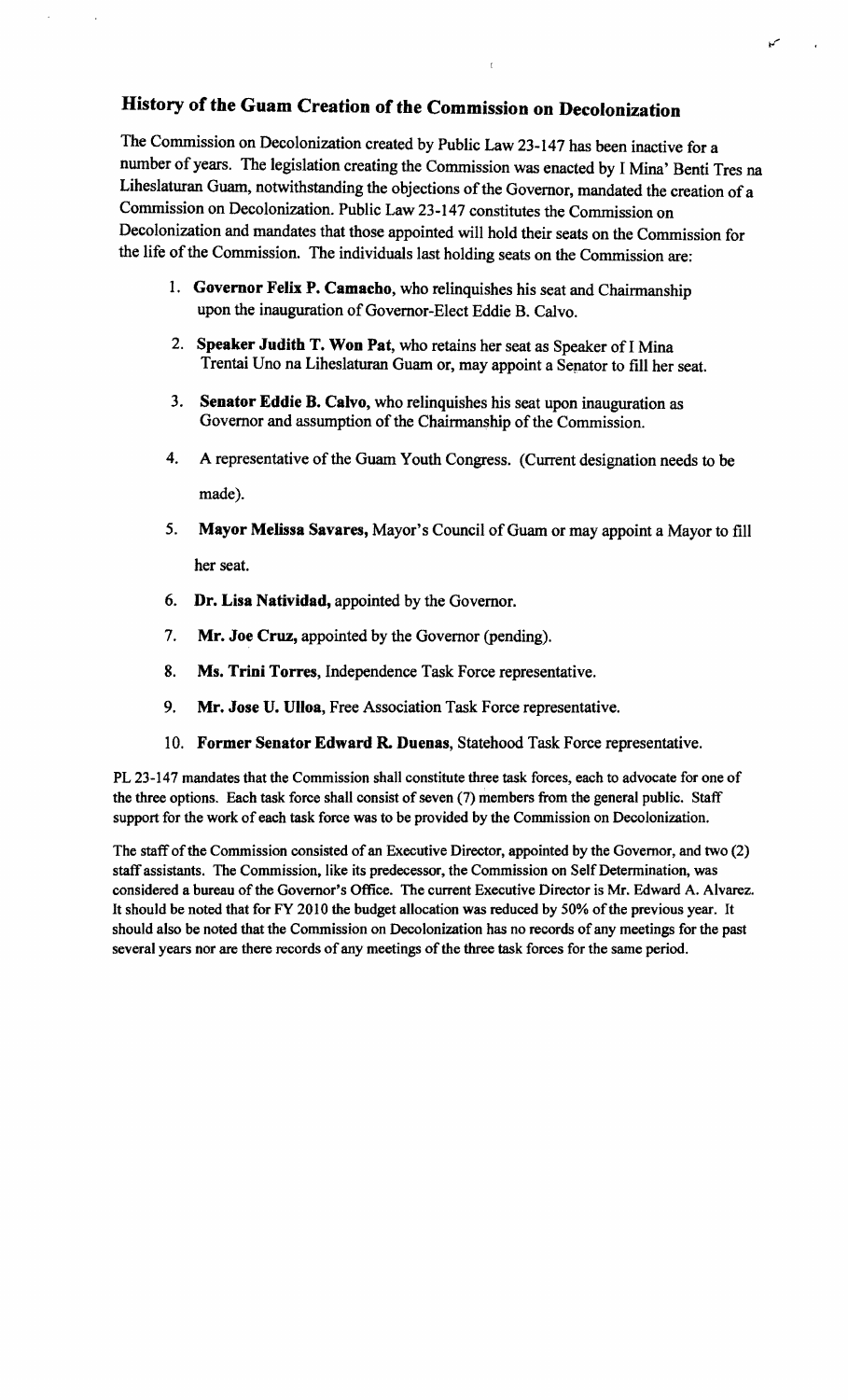# History of the Guam Creation of the Commission on Decolonization

The Commission on Decolonization created by Public Law 23-147 has been inactive for a number of years. The legislation creating the Commission was enacted by I Mina' Benti Tres na Liheslaturan Guam, notwithstanding the objections of the Governor, mandated the creation of a Commission on Decolonization. Public Law 23-147 constitutes the Commission on Decolonization and mandates that those appointed will hold their seats on the Commission for the life of the Commission. The individuals last holding seats on the Commission are:

- 1. Governor Felix P. Camacho, who relinquishes his seat and Chairmanship upon the inauguration of Governor-Elect Eddie B. Calvo.
- 2. Speaker Judith T. Won Pat, who retains her seat as Speaker of I Mina Trentai Uno na Liheslaturan Guam or, may appoint a Sepator to fill her seat.
- 3. Senator Eddie B. Calvo, who relinquishes his seat upon inauguration as Governor and assumption of the Chairmanship of the Commission.
- 4. A representative of the Guam Youth Congress. (Current designation needs to be made).
- 5. Mayor Melissa Savares, Mayor's Council of Guam or may appoint a Mayor to fill her seat.
- 6. Dr. Lisa Natividad, appointed by the Governor.
- 7. Mr. Joe Cruz, appointed by the Governor (pending).
- 8. Ms. Trini Torres, Independence Task Force representative.
- 9. Mr. Jose U. Ulloa, Free Association Task Force representative.
- 10. Former Senator Edward R. Duenas, Statehood Task Force representative.

PL 23-147 mandates that the Commission shall constitute three task forces, each to advocate for one of the three options. Each task force shall consist of seven (7) members from the general public. Staff support for the work of each task force was to be provided by the Commission on Decolonization.

The staff of the Commission consisted of an Executive Director, appointed by the Governor, and two (2) staff assistants. The Commission. like its predecessor, the Commission on Self Determination, was considered a bureau of the Governor's Office. The current Executive Director is Mr. Edward A. Alvarez. It should be noted that for FY 2010 the budget allocation was reduced by 50% of the previous year. It should also be noted that the Commission on Decolonization has no records ofany meetings for the past several years nor are there records of any meetings of the three task forces for the same period.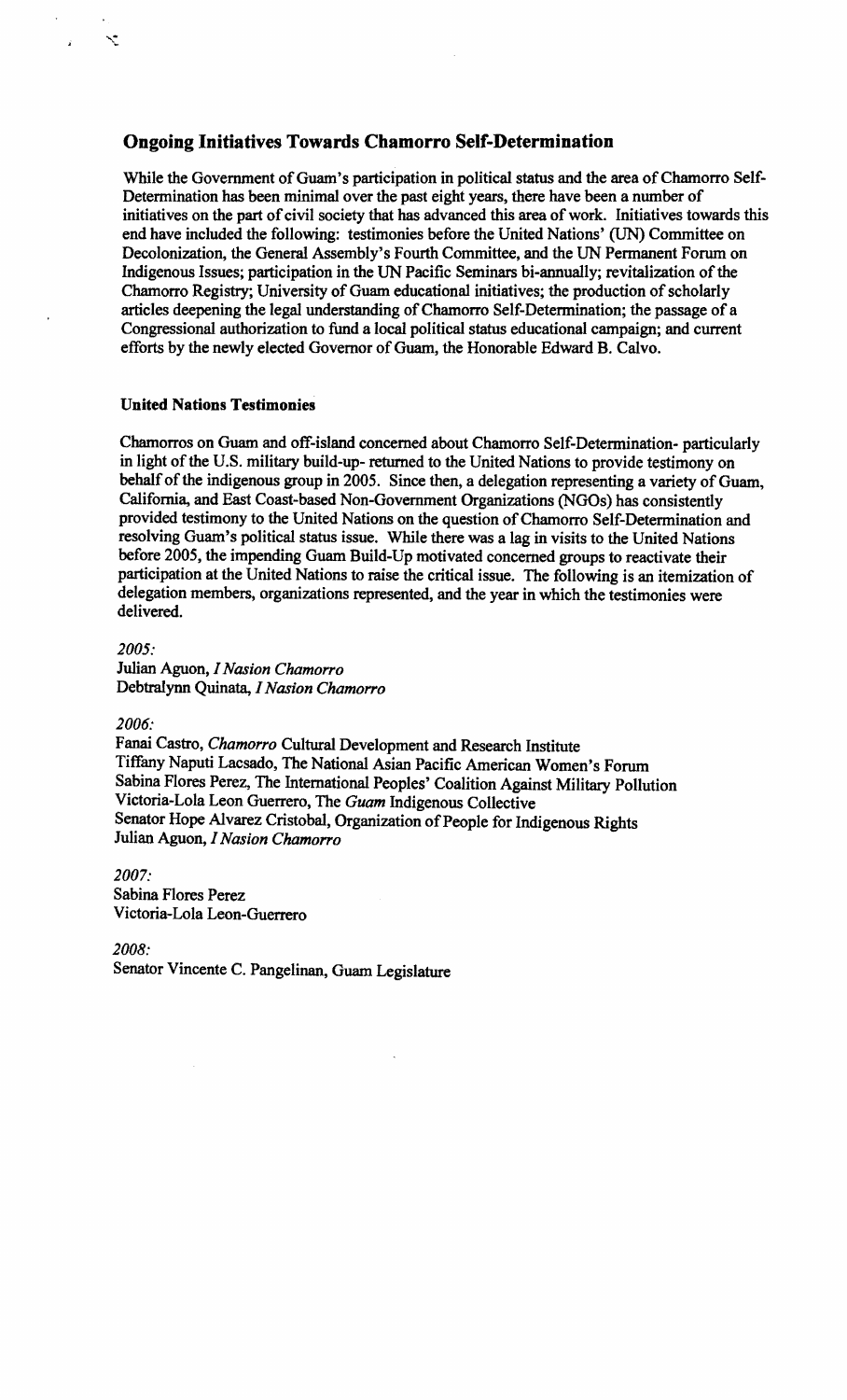# **Ongoing Initiatives Towards Chamorro Self-Determination**

While the Government of Guam's participation in political status and the area of Chamorro Self-Determination has been minimal over the past eight years, there have been a number of initiatives on the part of civil society that has advanced this area of work. Initiatives towards this end have included the following: testimonies before the United Nations' (UN) Committee on Decolonization, the General Assembly's Fourth Committee, and the UN Permanent Forum on Indigenous Issues; participation in the UN Pacific Seminars bi-annually; revitalization of the Chamorro Registry; University of Guam educational initiatives; the production of scholarly articles deepening the legal understanding of Chamorro Self-Determination; the passage of a Congressional authorization to fund a local political status educational campaign; and current efforts by the newly elected Governor of Guam, the Honorable Edward B. Calvo.

## **United Nations Testimonies**

Chamorros on Guam and off-island concerned about Chamorro Self-Determination- particularly in light of the U.S. military build-up- returned to the United Nations to provide testimony on behalf of the indigenous group in 2005. Since then, a delegation representing a variety of Guam, California, and East Coast-based Non-Government Organizations (NGOs) has consistently provided testimony to the United Nations on the question of Chamorro Self-Determination and resolving Guam's political status issue. While there was a lag in visits to the United Nations before 2005, the impending Guam Build-Up motivated concerned groups to reactivate their participation at the United Nations to raise the critical issue. The following is an itemization of delegation members, organizations represented, and the year in which the testimonies were delivered.

*2005:* 

Ń

Julian Aguon, *I Nasion Chamorro*  Debtralynn Quinata, *I Nasion Chamorro* 

*2006:* 

Fanai Castro, *Chamorro* Cultural Development and Research Institute Tiffany Naputi Lacsado, The National Asian Pacific American Women's Forum Sabina Flores Perez, The International Peoples' Coalition Against Military Pollution Victoria-Lola Leon Guerrero, The *Guam* Indigenous Collective Senator Hope Alvarez Cristobal, Organization of People for Indigenous Rights Julian Aguon, *I Nasion Chamorro* 

*2007:*  Sabina Flores Perez Victoria-Lola Leon-Guerrero

*2008:* 

Senator Vincente C. Pangelinan, Guam Legislature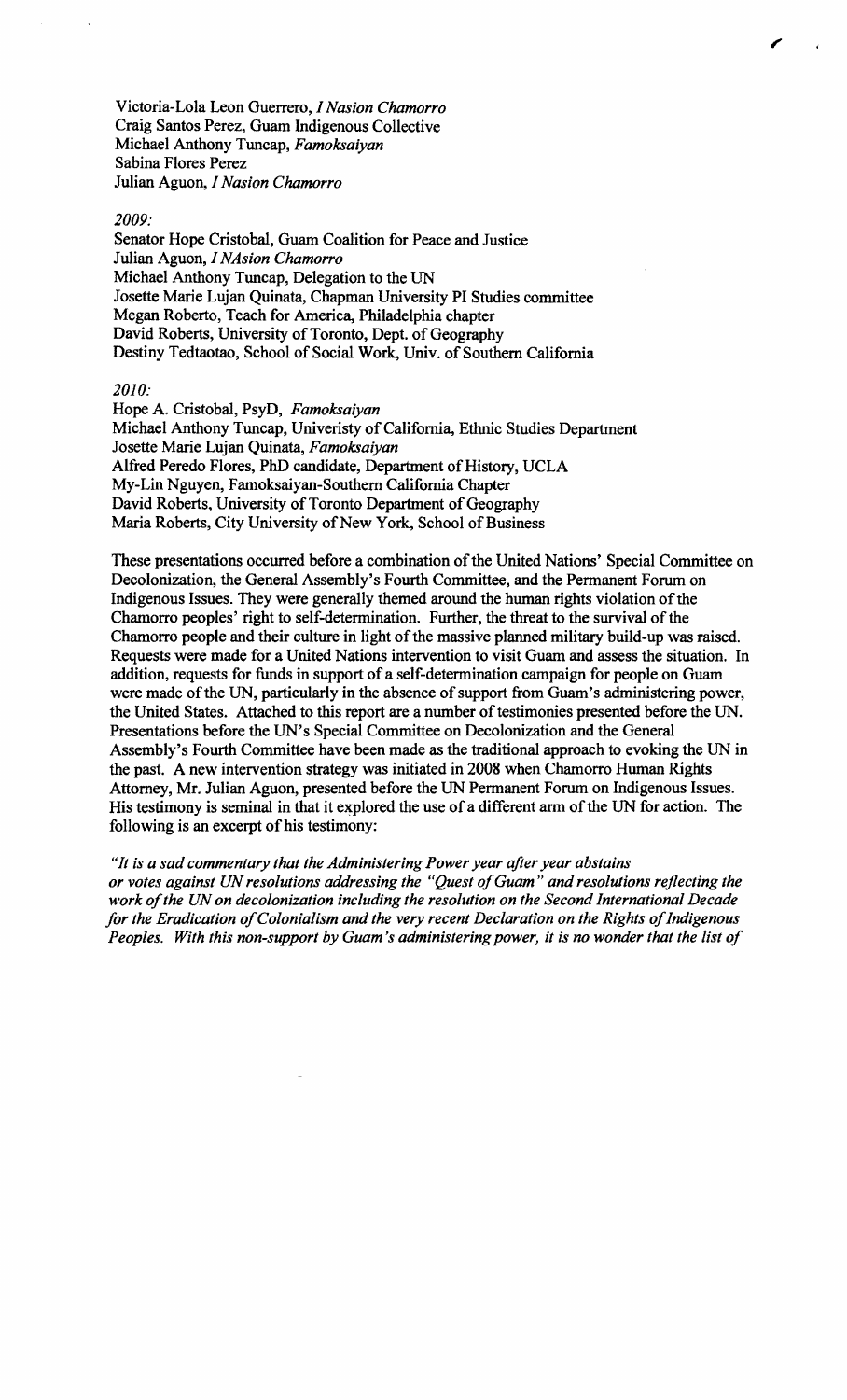Victoria-Lola Leon Guerrero, *1 Nasion Chamorro* Craig Santos Perez, Guam Indigenous Collective Michael Anthony Tuncap, *Famoksaiyan* Sabina Flores Perez Julian Aguon, *1 Nasion Chamorro* 

#### *2009:*

Senator Hope Cristobal, Guam Coalition for Peace and Justice Julian Aguon, *1 NAsion Chamorro* Michael Anthony Tuncap, Delegation to the UN Josette Marie Lujan Quinata, Chapman University PI Studies committee Megan Roberto, Teach for America, Philadelphia chapter David Roberts, University of Toronto, Dept. of Geography Destiny Tedtaotao, School of Social Work, Univ. of Southern California

## *2010:*

Hope A. Cristobal, PsyD, *Famoksaiyan* Michael Anthony Tuncap, Univeristy of California, Ethnic Studies Department Josette Marie Lujan Quinata, *Famoksaiyan* Alfred Peredo Flores, PhD candidate, Department of History, UCLA My-Lin Nguyen, Famoksaiyan-Southern California Chapter David Roberts, University of Toronto Department of Geography Maria Roberts, City University of New York, School of Business

These presentations occurred before a combination of the United Nations' Special Committee on Decolonization, the General Assembly's Fourth Committee, and the Permanent Forum on Indigenous Issues. They were generally themed around the human rights violation of the Chamorro peoples' right to self-determination. Further, the threat to the survival of the Chamorro people and their culture in light of the massive planned military build-up was raised. Requests were made for a United Nations intervention to visit Guam and assess the situation. In addition, requests for funds in support of a self-determination campaign for people on Guam were made of the UN, particularly in the absence of support from Guam's administering power, the United States. Attached to this report are a number of testimonies presented before the UN. Presentations before the UN's Special Committee on Decolonization and the General Assembly's Fourth Committee have been made as the traditional approach to evoking the UN in the past. A new intervention strategy was initiated in 2008 when Chamorro Human Rights Attorney, Mr. Julian Aguon, presented before the UN Permanent Forum on Indigenous Issues. His testimony is seminal in that it explored the use of a different arm of the UN for action. The following is an excerpt of his testimony:

*"It is a sad commentary that the Administering Power year after year abstains or votes against UN resolutions addressing the "Quest ofGuam* " *and resolutions reflecting the*  work of the UN on decolonization including the resolution on the Second International Decade for the Eradication of Colonialism and the very recent Declaration on the Rights of Indigenous *Peoples. With this non-support by Guam's administering power, it is no wonder that the list of*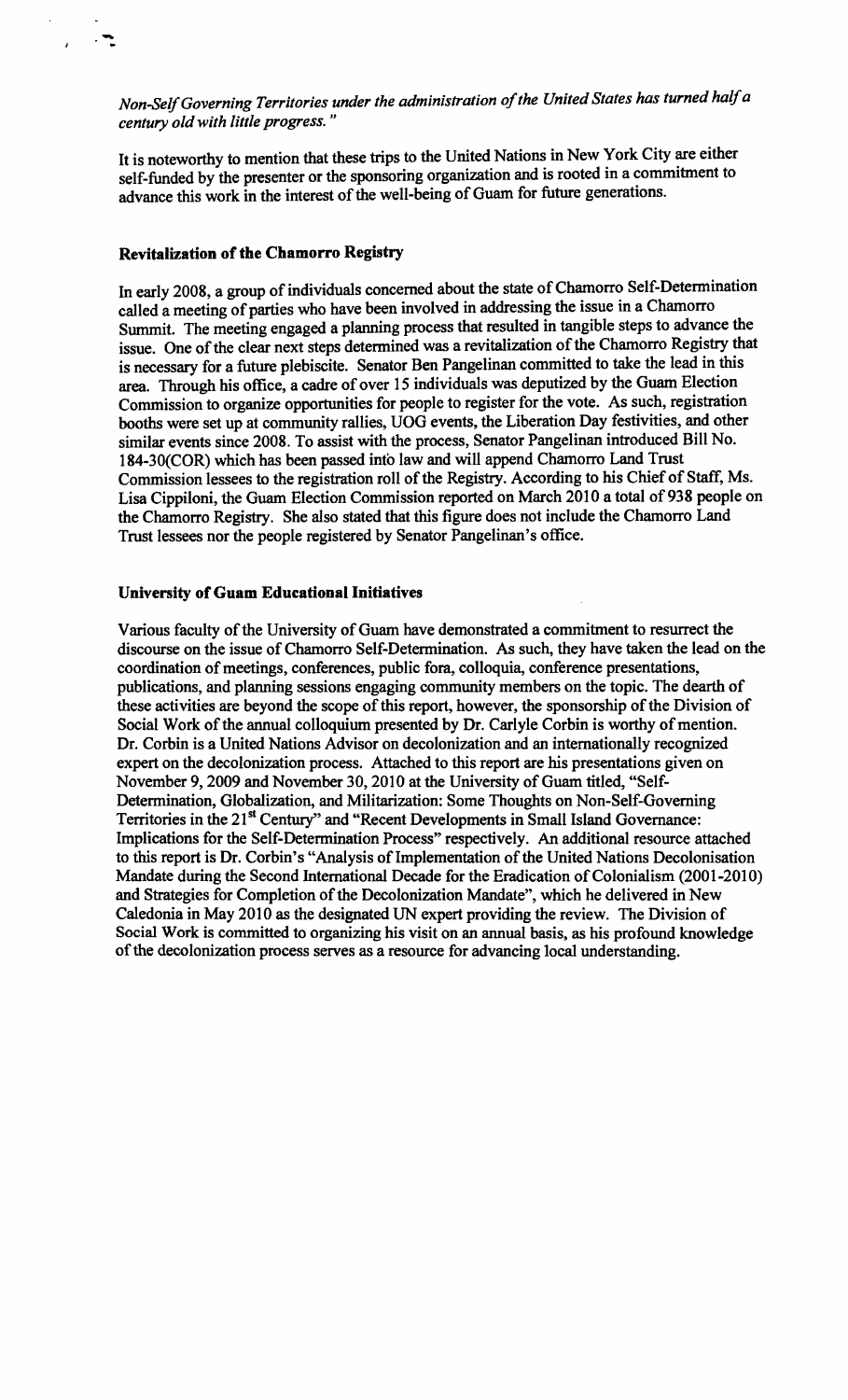Non~elfGoverning *Territories under the administration ofthe United States has turned halfa century old with little progress. "* 

It is noteworthy to mention that these trips to the United Nations in New York City are either self-funded by the presenter or the sponsoring organization and is rooted in a commitment to advance this work in the interest of the well-being of Guam for future generations.

### **Revitalization of the Chamorro Registry**

-..

> In early 2008, a group of individuals concerned about the state of Chamorro Self-Determination called a meeting of parties who have been involved in addressing the issue in a Chamorro Summit. The meeting engaged a planning process that resulted in tangible steps to advance the issue. One of the clear next steps determined was a revitalization of the Chamorro Registry that is necessary for a future plebiscite. Senator Ben Pangelinan committed to take the lead in this area. Through his office, a cadre of over 15 individuals was deputized by the Guam Election Commission to organize opportunities for people to register for the vote. As such, registration booths were set up at community rallies, UOG events, the Liberation Day festivities, and other similar events since 2008. To assist with the process, Senator Pangelinan introduced Bill No. 184-30(COR) which has been passed into law and will append Chamorro Land Trust Commission lessees to the registration roll of the Registry. According to his Chief of Staff, Ms. Lisa Cippiloni, the Guam Election Commission reported on March 2010 a total of 938 people on the Chamorro Registry. She also stated that this figure does not include the Chamorro Land Trust lessees nor the people registered by Senator Pangelinan's office.

### University of Guam Educational Initiatives

Various faculty of the University of Guam have demonstrated a commitment to resurrect the discourse on the issue of Chamorro Self-Determination. As such, they have taken the lead on the coordination of meetings, conferences, public fora, colloquia, conference presentations, publications, and planning sessions engaging community members on the topic. The dearth of these activities are beyond the scope of this report, however, the sponsorship of the Division of Social Work of the annual colloquium presented by Dr. Carlyle Corbin is worthy of mention. Dr. Corbin is a United Nations Advisor on decolonization and an internationally recognized expert on the decolonization process. Attached to this report are his presentations given on November 9, 2009 and November 30, 2010 at the University of Guam titled, "Self-Determination, Globalization, and Militarization: Some Thoughts on Non-Self-Governing Territories in the 21<sup>st</sup> Century" and "Recent Developments in Small Island Governance: Implications for the Self-Determination Process" respectively. An additional resource attached to this report is Dr. Corbin's "Analysis of Implementation of the United Nations Decolonisation Mandate during the Second International Decade for the Eradication of Colonialism (2001-2010) and Strategies for Completion of the Decolonization Mandate", which he delivered in New Caledonia in May 2010 as the designated UN expert providing the review. The Division of Social Work is committed to organizing his visit on an annual basis. as his profound knowledge of the decolonization process serves as a resource for advancing local understanding.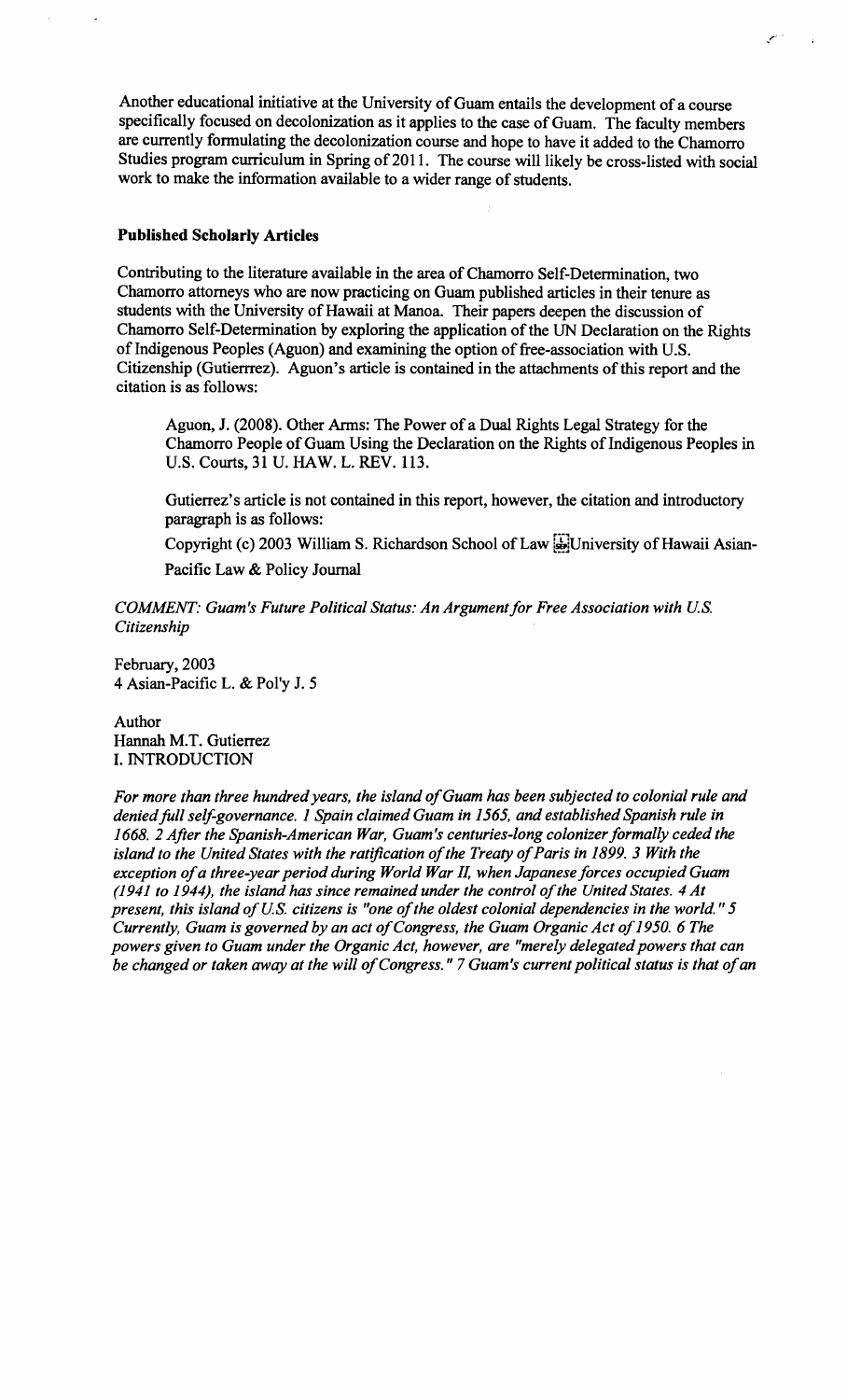Another educational initiative at the University of Guam entails the development of a course specifically focused on decolonization as it applies to the case of Guam. The faculty members are currently formulating the decolonization course and hope to have it added to the Chamorro Studies program curriculum in Spring of 2011. The course will likely be cross-listed with social work to make the information available to a wider range of students.

### **Published Scholarly Articles**

Contributing to the literature available in the area of Chamorro Self-Determination, two Chamorro attorneys who are now practicing on Guam published articles in their tenure as students with the University of Hawaii at Manoa. Their papers deepen the discussion of Chamorro Self-Determination by exploring the application of the UN Declaration on the Rights of Indigenous Peoples (Aguon) and examining the option of free-association with U.S. Citizenship (Gutierrrez). Aguon's article is contained in the attachments of this report and the citation is as follows:

Aguon, J. (2008). Other Arms: The Power of a Dual Rights Legal Strategy for the Chamorro People of Guam Using the Declaration on the Rights of Indigenous Peoples in U.S. Courts, 31 U. HAW. L. REV. 113.

Gutierrez's article is not contained in this report, however, the citation and introductory paragraph is as follows:

Copyright (c) 2003 William S. Richardson School of Law [H]University of Hawaii Asian-Pacific Law & Policy Journal

*COMMENT: Guam's Future Political Status: An Argument for Free Association with U.S. Citizenship* 

February, 2003 4 Asian-Pacific L. & Pol'y J. 5

Author Hannah M.T. Gutierrez 1. INTRODUCTION

For more than three hundred years, the island of Guam has been subjected to colonial rule and *deniedfull self-governance.* 1 *Spain claimed Guam in* 1565, *and established Spanish rule in*  1668. 2 *After the Spanish-American War, Guam's centuries-long colonizer formally ceded the island to the United States with the ratification of the Treaty of Paris in 1899. 3 With the* exception of a three-year period during World War II, when Japanese forces occupied Guam *(1941 to* 1944), *the island has since remained under the control ofthe United States.* 4 *At present, this island of U.S. citizens is "one of the oldest colonial dependencies in the world." 5 Currently, Guam is governed by an act of Congress, the Guam Organic Act of 1950. 6 The powers given to Guam under the Organic Act, however, are "merely delegated powers that can be changed or taken away at the will of Congress." 7 Guam's current political status is that of an*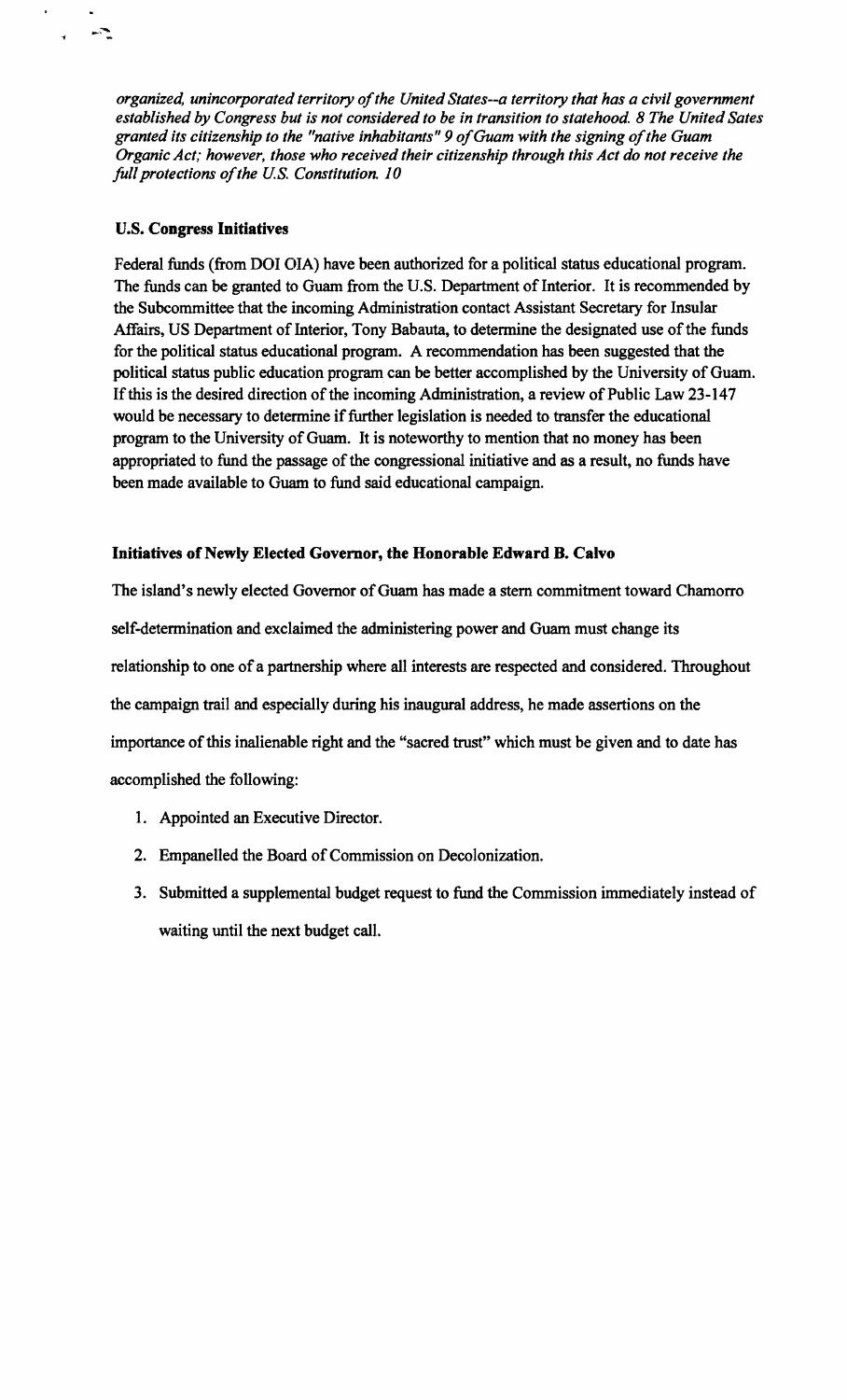*organized, unincorporated territory of the United States--a territory that has a civil government established by Congress but is not considered to be in transition to statehood.* 8 *The United Sates granted its citizenship to the "native inhabitants"* 9 *ofGuam with the signing ofthe Guam Organic Act; however, those who received their citizenship through this Act do not receive the full protections ofthe U.S. Constitution. 10* 

## u.s. **Congress Inidatives**

 $\mathbb{R}$ 

Federal funds (from DOl OIA) have been authorized for a political status educational program. The funds can be granted to Guam from the U.S. Department of Interior. It is recommended by the Subcommittee that the incoming Administration contact Assistant Secretary for Insular Affairs, US Department of Interior, Tony Babauta, to determine the designated use of the funds for the political status educational program. A recommendation has been suggested that the political status public education program can be better accomplished by the University of Guam. If this is the desired direction of the incoming Administration, a review of Public Law 23-147 would be necessary to determine if further legislation is needed to transfer the educational program to the University of Guam. It is noteworthy to mention that no money has been appropriated to fund the passage of the congressional initiative and as a result, no funds have been made available to Guam to fund said educational campaign.

# **Initiatives of Newly Elected Governor, the Honorable Edward B. Calvo**

The island's newly elected Governor of Guam has made a stern commitment toward Chamorro self-determination and exclaimed the administering power and Guam must change its relationship to one of a partnership where all interests are respected and considered. Throughout the campaign trail and especially during his inaugural address, he made assertions on the importance of this inalienable right and the "sacred trust" which must be given and to date has accomplished the following:

- 1. Appointed an Executive Director.
- 2. Empanelled the Board of Commission on Decolonization.
- 3. Submitted a supplemental budget request to fund the Commission immediately instead of waiting until the next budget call.